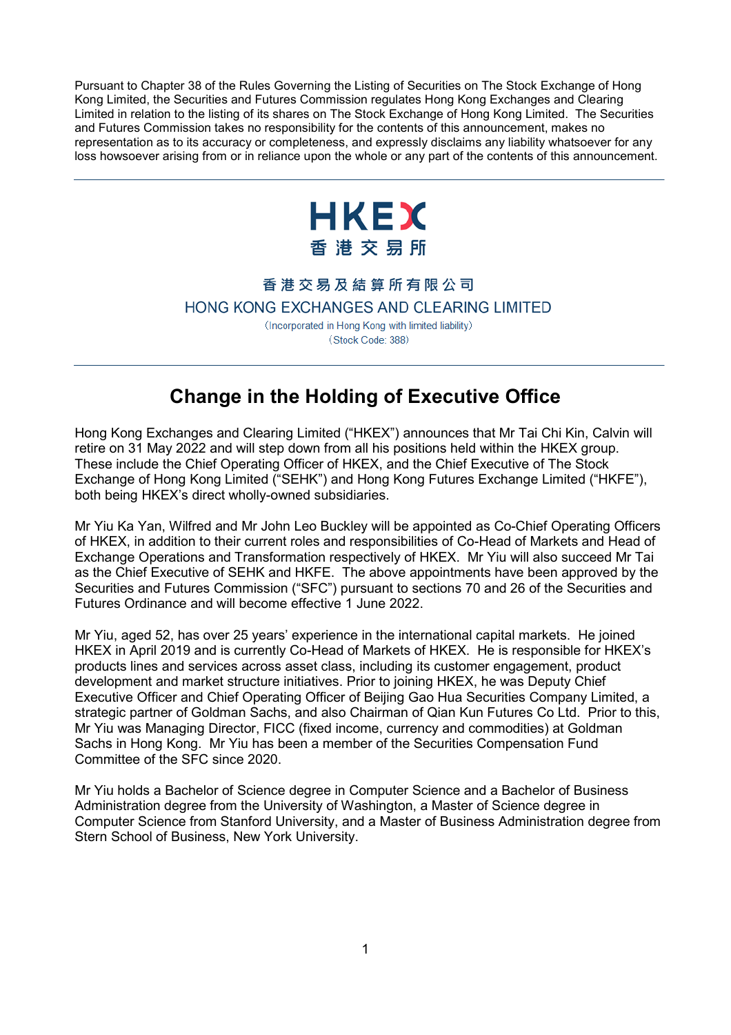Pursuant to Chapter 38 of the Rules Governing the Listing of Securities on The Stock Exchange of Hong Kong Limited, the Securities and Futures Commission regulates Hong Kong Exchanges and Clearing Limited in relation to the listing of its shares on The Stock Exchange of Hong Kong Limited. The Securities and Futures Commission takes no responsibility for the contents of this announcement, makes no representation as to its accuracy or completeness, and expressly disclaims any liability whatsoever for any loss howsoever arising from or in reliance upon the whole or any part of the contents of this announcement.



## 香港交易及結算所有限公司

HONG KONG EXCHANGES AND CLEARING LIMITED

(Incorporated in Hong Kong with limited liability) (Stock Code: 388)

## **Change in the Holding of Executive Office**

Hong Kong Exchanges and Clearing Limited ("HKEX") announces that Mr Tai Chi Kin, Calvin will retire on 31 May 2022 and will step down from all his positions held within the HKEX group. These include the Chief Operating Officer of HKEX, and the Chief Executive of The Stock Exchange of Hong Kong Limited ("SEHK") and Hong Kong Futures Exchange Limited ("HKFE"), both being HKEX's direct wholly-owned subsidiaries.

Mr Yiu Ka Yan, Wilfred and Mr John Leo Buckley will be appointed as Co-Chief Operating Officers of HKEX, in addition to their current roles and responsibilities of Co-Head of Markets and Head of Exchange Operations and Transformation respectively of HKEX. Mr Yiu will also succeed Mr Tai as the Chief Executive of SEHK and HKFE. The above appointments have been approved by the Securities and Futures Commission ("SFC") pursuant to sections 70 and 26 of the Securities and Futures Ordinance and will become effective 1 June 2022.

Mr Yiu, aged 52, has over 25 years' experience in the international capital markets. He joined HKEX in April 2019 and is currently Co-Head of Markets of HKEX. He is responsible for HKEX's products lines and services across asset class, including its customer engagement, product development and market structure initiatives. Prior to joining HKEX, he was Deputy Chief Executive Officer and Chief Operating Officer of Beijing Gao Hua Securities Company Limited, a strategic partner of Goldman Sachs, and also Chairman of Qian Kun Futures Co Ltd. Prior to this, Mr Yiu was Managing Director, FICC (fixed income, currency and commodities) at Goldman Sachs in Hong Kong. Mr Yiu has been a member of the Securities Compensation Fund Committee of the SFC since 2020.

Mr Yiu holds a Bachelor of Science degree in Computer Science and a Bachelor of Business Administration degree from the University of Washington, a Master of Science degree in Computer Science from Stanford University, and a Master of Business Administration degree from Stern School of Business, New York University.